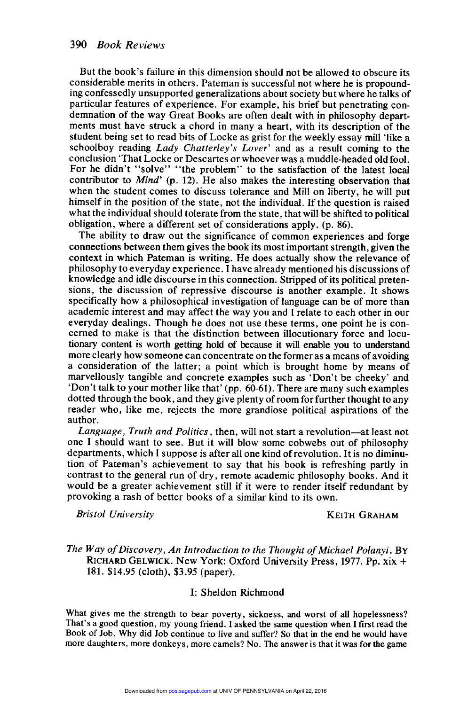But the book's failure in this dimension should not be allowed to obscure its considerable merits in others. Pateman is successful not where he is propounding confessedly unsupported generalizations about society but where he talks of particular features of experience. For example, his brief but penetrating conments must have struck a chord in many a heart, with its description of the student being set to read bits of Locke as grist for the weekly essay mill 'like a schoolboy reading Lady Chatterley's Lover' and as a result coming to the conclusion 'That Locke or Descartes or whoever was a muddle-headed old fool. For he didn't "solve" "the problem" to the satisfaction of the latest local contributor to *Mind'* (p. 12). He also makes the interesting observation that when the student comes to discuss tolerance and Mill on liberty, he will put himself in the position of the state, not the individual. If the question is raised what the individual should tolerate from the state, that will be shifted to political obligation, where a different set of considerations apply. (p. 86).

The ability to draw out the significance of common experiences and forge connections between them gives the book its most important strength, given the context in which Pateman is writing. He does actually show the relevance of philosophy to everyday experience. I have already mentioned his discussions of knowledge and idle discourse in this connection. Stripped of its political pretensions, the discussion of repressive discourse is another example. It shows specifically how a philosophical investigation of language can be of more than academic interest and may affect the way you and I relate to each other in our everyday dealings. Though he does not use these terms, one point he is concerned to make is that the distinction between illocutionary force and locutionary content is worth getting hold of because it will enable you to understand more clearly how someone can concentrate on the former as a means of avoiding a consideration of the latter; a point which is brought home by means of marvellously tangible and concrete examples such as 'Don't be cheeky' and 'Don't talk to your mother like that' (pp. 60-61). There are many such examples dotted through the book, and they give plenty of room for further thought to any reader who, like me, rejects the more grandiose political aspirations of the author.

Language, Truth and Politics, then, will not start a revolution—at least not one I should want to see. But it will blow some cobwebs out of philosophy departments, which I suppose is after all one kind of revolution. It is no diminution of Pateman's achievement to say that his book is refreshing partly in contrast to the general run of dry, remote academic philosophy books. And it provoking a rash of better books of a similar kind to its own.

Bristol University **KEITH GRAHAM** 

## Bristol University<br>The Way of Discovery, An Introduction to the Thought of Michael Polanyi. BY<br>RICHARD GELWICK. New York: Oxford University Press, 1977. Pp. xix + 181. \$14.95 (cloth), \$3.95 (paper).

## I: Sheldon Richmond

What gives me the strength to bear poverty, sickness, and worst of all hopelessness? That's a good question, my young friend. I asked the same question when I first read the Book of Job. Why did Job continue to live and suffer? So that in the end he would have more daughters, more donkeys, more camels? No. The answer is that it was for the game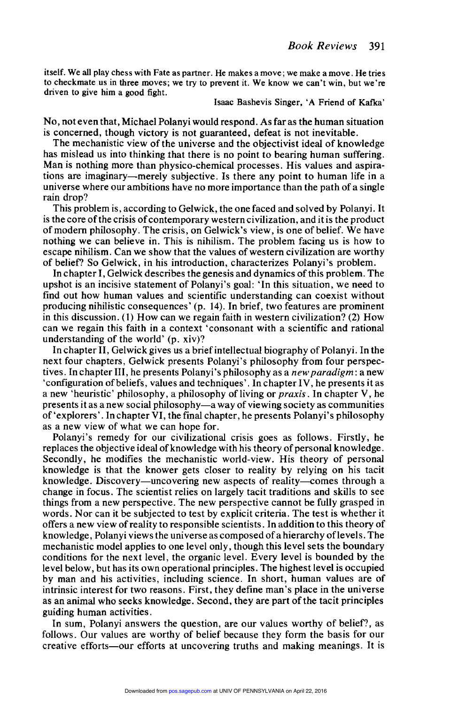itself. We all play chess with Fate as partner. He makes a move; we make a move. He tries s to checkmate us in three moves; we try to prevent it. We know we can't win, but we're driven to give him a good fight.

Isaac Bashevis Singer, 'A Friend of Kafka'

No, not even that, Michael Polanyi would respond. As far as the human situation is concerned, though victory is not guaranteed, defeat is not inevitable.

The mechanistic view of the universe and the objectivist ideal of knowledge has mislead us into thinking that there is no point to bearing human suffering. Man is nothing more than physico-chemical processes. His values and aspirations are imaginary-merely subjective. Is there any point to human life in a universe where our ambitions have no more importance than the path of a single rain drop?

This problem is, according to Gelwick, the one faced and solved by Polanyi. It is the core of the crisis of contemporary western civilization, and it is the product of modern philosophy. The crisis, on Gelwick's view, is one of belief. We have nothing we can believe in. This is nihilism. The problem facing us is how to escape nihilism. Can we show that the values of western civilization are worthy of belief? So Gelwick, in his introduction, characterizes Polanyi's problem.

In chapter I, Gelwick describes the genesis and dynamics of this problem. The upshot is an incisive statement of Polanyi's goal: 'In this situation, we need to find out how human values and scientific understanding can coexist without producing nihilistic consequences' (p. 14). In brief, two features are prominent in this discussion. (1) How can we regain faith in western civilization? (2) How can we regain this faith in a context 'consonant with a scientific and rational understanding of the world' (p. xiv)?

In chapter II, Gelwick gives us a brief intellectual biography of Polanyi. In the next four chapters, Gelwick presents Polanyi's philosophy from four perspectives. In chapter III, he presents Polanyi's philosophy as a *new paradigm* : a new 'configuration of beliefs, values and techniques'. In chapter IV, he presents it as a new 'heuristic' philosophy, a philosophy of living or praxis. In chapter V, he presents it as a new social philosophy-a way of viewing society as communities of 'explorers'. In chapter VI, the final chapter, he presents Polanyi's philosophy as a new view of what we can hope for.

Polanyi's remedy for our civilizational crisis goes as follows. Firstly, he replaces the objective ideal of knowledge with his theory of personal knowledge. Secondly, he modifies the mechanistic world-view. His theory of personal knowledge is that the knower gets closer to reality by relying on his tacit knowledge. Discovery—uncovering new aspects of reality—comes through a change in focus. The scientist relies on largely tacit traditions and skills to see things from a new perspective. The new perspective cannot be fully grasped in words. Nor can it be subjected to test by explicit criteria. The test is whether it offers a new view of reality to responsible scientists. In addition to this theory of knowledge, Polanyi views the universe as composed of a hierarchy of levels. The mechanistic model applies to one level only, though this level sets the boundary conditions for the next level, the organic level. Every level is bounded by the level below, but has its own operational principles. The highest level is occupied by man and his activities, including science. In short, human values are of intrinsic interest for two reasons. First, they define man's place in the universe as an animal who seeks knowledge. Second, they are part of the tacit principles guiding human activities.

In sum, Polanyi answers the question, are our values worthy of belief?, as follows. Our values are worthy of belief because they form the basis for our creative efforts-our efforts at uncovering truths and making meanings. It is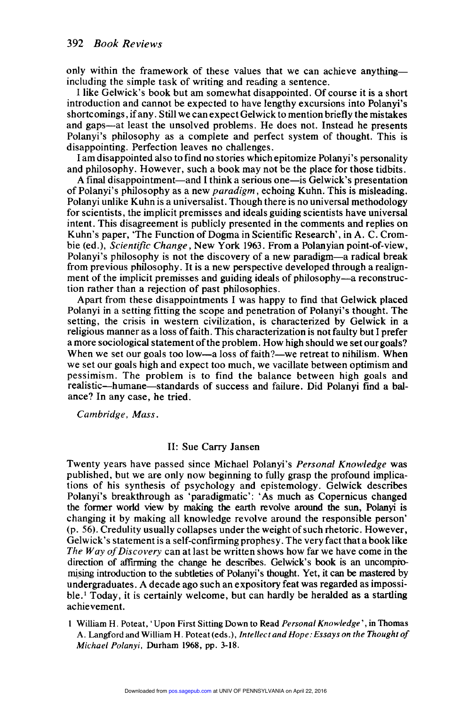only within the framework of these values that we can achieve anything including the simple task of writing and reading a sentence.

I like Gelwick's book but am somewhat disappointed. Of course it is a short introduction and cannot be expected to have lengthy excursions into Polanyi's shortcomings, if any. Still we can expect Gelwick to mention briefly the mistakes and gaps-at least the unsolved problems. He does not. Instead he presents Polanyi's philosophy as a complete and perfect system of thought. This is disappointing. Perfection leaves no challenges.

I am disappointed also to find no stories which epitomize Polanyi's personality and philosophy. However, such a book may not be the place for those tidbits.

A final disappointment—and I think a serious one—is Gelwick's presentation of Polanyi's philosophy as a new paradigm, echoing Kuhn. This is misleading. Polanyi unlike Kuhn is a universalist. Though there is no universal methodology for scientists, the implicit premisses and ideals guiding scientists have universal intent. This disagreement is publicly presented in the comments and replies on Kuhn's paper, 'The Function of Dogma in Scientific Research', in A. C. Crombie (ed.), Scientific Change, New York 1963. From a Polanyian point-of-view, Polanyi's philosophy is not the discovery of a new paradigm-a radical break from previous philosophy. It is a new perspective developed through a realign ment of the implicit premisses and guiding ideals of philosophy-a reconstruction rather than a rejection of past philosophies.

Apart from these disappointments I was happy to find that Gelwick placed Polanyi in a setting fitting the scope and penetration of Polanyi's thought. The setting, the crisis in western civilization, is characterized by Gelwick in a religious manner as a loss of faith. This characterization is not faulty but I prefer a more sociological statement of the problem. How high should we set our goals? When we set our goals too low—a loss of faith?—we retreat to nihilism. When we set our goals high and expect too much, we vacillate between optimism and pessimism. The problem is to find the balance between high goals and realistic-humane-standards of success and failure. Did Polanyi find a balance? In any case, he tried.

Cambridge, Mass.

## II: Sue Carry Jansen

Twenty years have passed since Michael Polanyi's Personal Knowledge was published, but we are only now beginning to fully grasp the profound implica tions of his synthesis of psychology and epistemology. Gelwick describes Polanyi's breakthrough as 'paradigmatic': 'As much as Copernicus changed the former world view by making the earth revolve around the sun, Polanyi is changing it by making all knowledge revolve around the responsible person' (p. 56). Credulity usually collapses under the weight of such rhetoric. However, Gelwick's statement is a self-confirming prophesy. The very fact that a book like The Way of Discovery can at last be written shows how far we have come in the direction of affirming the change he describes. Gelwick's book is an uncomptomising introduction to the subtleties of Polanyi's thought. Yet, it can be mastered by undergraduates. A decade ago such an expository feat was regarded as impossi $ble<sup>1</sup> Today, it is certainly welcome, but can hardly be heralded as a starting$ achievement.

1 William H. Poteat, 'Upon First Sitting Down to Read Personal Knowledge', in Thomas A. Langford and William H. Poteat (eds.), Intellect and Hope: Essays on the Thought of Michael Polanyi, Durham 1968, pp. 3-18.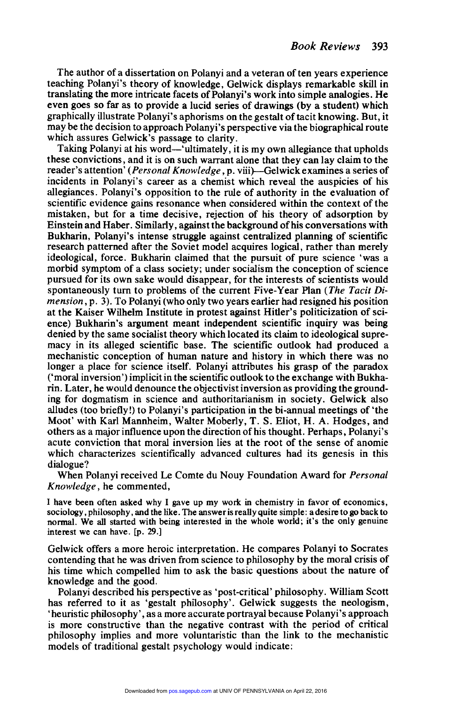The author of a dissertation on Polanyi and a veteran of ten years experience teaching Polanyi's theory of knowledge, Gelwick displays remarkable skill in translating the more intricate facets of Polanyi's work into simple analogies. He even goes so far as to provide a lucid series of drawings (by a student) which graphically illustrate Polanyi's aphorisms on the gestalt of tacit knowing. But, it may be the decision to approach Polanyi's perspective via the biographical route which assures Gelwick's passage to clarity.

Taking Polanyi at his word—'ultimately, it is my own allegiance that upholds these convictions, and it is on such warrant alone that they can lay claim to the reader's attention' (Personal Knowledge, p. viii)-Gelwick examines a series of incidents in Polanyi's career as a chemist which reveal the anspicies of his allegiances. Polanyi's opposition to the rule of authority in the evaluation of scientific evidence gains resonance when considered within the context of the mistaken, but for a time decisive, rejection of his theory of adsorption by Einstein and Haber. Similarly, against the background of his conversations with Bukharin, Polanyi's intense struggle against centralized planning of scientific research patterned after the Soviet model acquires logical, rather than merely ideological, force. Bukharin claimed that the pursuit of pure science 'was a morbid symptom of a class society; under socialism the conception of science pursued for its own sake would disappear, for the interests of scientists would spontaneously turn to problems of the current Five-Year Plan (The Tacit Dimension, p. 3). To Polanyi (who only two years earlier had resigned his position at the Kaiser Wilhelm Institute in protest against Hitler's politicization of science) Bukharin's argument meant independent scientific inquiry was being denied by the same socialist theory which located its claim to ideological supremacy in its alleged scientific base. The scientific outlook had produced a mechanistic conception of human nature and history in which there was no longer a place for science itself. Polanyi attributes his grasp of the paradox ('moral inversion') implicit in the scientific outlook to the exchange with Bukharin. Later, he would denounce the objectivist inversion as providing the grounding for dogmatism in science and authoritarianism in society. Gelwick also alludes (too briefly!) to Polanyi's participation in the bi-annual meetings of 'the Moot' with Karl Mannheim, Walter Moberly, T. S. Eliot, H. A. Hodges, and others as a major influence upon the direction of his thought. Perhaps, Polanyi's acute conviction that moral inversion lies at the root of the sense of anomie which characterizes scientifically advanced cultures had its genesis in this dialogue?

When Polanyi received Le Comte du Nouy Foundation Award for Personal Knowledge, he commented,

I have been often asked why I gave up my work in chemistry in favor of economics, sociology, philosophy, and the like. The answer is really quite simple: a desire to go back to normal. We all started with being interested in the whole world; it's the only genuine interest we can have. [p. 29.]

Gelwick offers a more heroic interpretation. He compares Polanyi to Socrates contending that he was driven from science to philosophy by the moral crisis of his time which compelled him to ask the basic questions about the nature of knowledge and the good.

Polanyi described his perspective as 'post-critical' philosophy. William Scott has referred to it as 'gestalt philosophy'. Gelwick suggests the neologism, 'heuristic philosophy', as a more accurate portrayal because Polanyi's approach is more constructive than the negative contrast with the period of critical philosophy implies and more voluntaristic than the link to the mechanistic models of traditional gestalt psychology would indicate: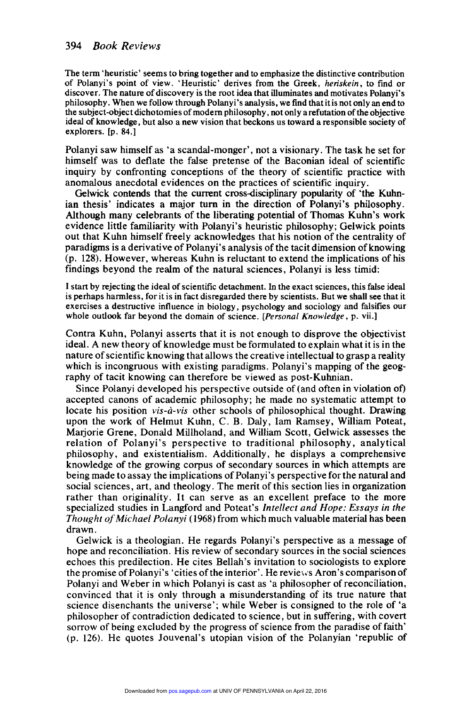The term 'heuristic' seems to bring together and to emphasize the distinctive contribution of Polanyi's point of view. 'Heuristic' derives from the Greek, heriskein, to find or discover. The nature of discovery is the root idea that illuminates and motivates Polanyi's s philosophy. When we follow through Polanyi's analysis, we find that it is not only an end to the subject-object dichotomies of modern philosophy, not only a refutation of the objective ideal of knowledge, but also a new vision that beckons us toward a responsible society of explorers. [p. 84.]

Polanyi saw himself as 'a scandal-monger', not a visionary. The task he set for himself was to deflate the false pretense of the Baconian ideal of scientific inquiry by confronting conceptions of the theory of scientific practice with anomalous anecdotal evidences on the practices of scientific inquiry.

Gelwick contends that the current cross-disciplinary popularity of 'the Kuhnian thesis' indicates a major turn in the direction of Polanyi's philosophy. Although many celebrants of the liberating potential of Thomas Kuhn's work evidence little familiarity with Polanyi's heuristic philosophy: Gelwick points out that Kuhn himself freely acknowledges that his notion of the centrality of paradigms is a derivative of Polanyi's analysis of the tacit dimension of knowing (p. 128). However, whereas Kuhn is reluctant to extend the implications of his findings beyond the realm of the natural sciences, Polanyi is less timid:

I start by rejecting the ideal of scientific detachment. In the exact sciences, this false ideal is perhaps harmless, for it is in fact disregarded there by scientists. But we shall see that it exercises a destructive influence in biology, psychology and sociology and falsifies our whole outlook far beyond the domain of science. [Personal Knowledge, p. vii.]

Contra Kuhn, Polanyi asserts that it is not enough to disprove the objectivist ideal. A new theory of knowledge must be formulated to explain what it is in the nature of scientific knowing that allows the creative intellectual to grasp a reality which is incongruous with existing paradigms. Polanyi's mapping of the geography of tacit knowing can therefore be viewed as post-Kuhnian.

Since Polanyi developed his perspective outside of (and often in violation of) accepted canons of academic philosophy; he made no systematic attempt to locate his position vis-à-vis other schools of philosophical thought. Drawing upon the work of Helmut Kuhn, C. B. Daly, lam Ramsey, William Poteat, Marjorie Grene, Donald Millholand, and William Scott, Gelwick assesses the relation of Polanyi's perspective to traditional philosophy, analytical philosophy, and existentialism. Additionally, he displays a comprehensive knowledge of the growing corpus of secondary sources in which attempts are being made to assay the implications of Polanyi's perspective for the natural and social sciences, art, and theology. The merit of this section lies in organization rather than originality. It can serve as an excellent preface to the more specialized studies in Langford and Poteat's Intellect and Hope: Essays in the Thought of Michael Polanyi ( 1968) from which much valuable material has been drawn.

Gelwick is a theologian. He regards Polanyi's perspective as a message of hope and reconciliation. His review of secondary sources in the social sciences echoes this predilection. He cites Bellah's invitation to sociologists to explore the promise of Polanyi's 'cities of the interior'. He reviews Aron's comparison of Polanyi and Weber in which Polanyi is cast as 'a philosopher of reconciliation, convinced that it is only through a misunderstanding of its true nature that science disenchants the universe'; while Weber is consigned to the role of 'a philosopher of contradiction dedicated to science, but in suffering, with covert sorrow of being excluded by the progress of science from the paradise of faith' (p. 126). He quotes Jouvenal's utopian vision of the Polanyian 'republic of